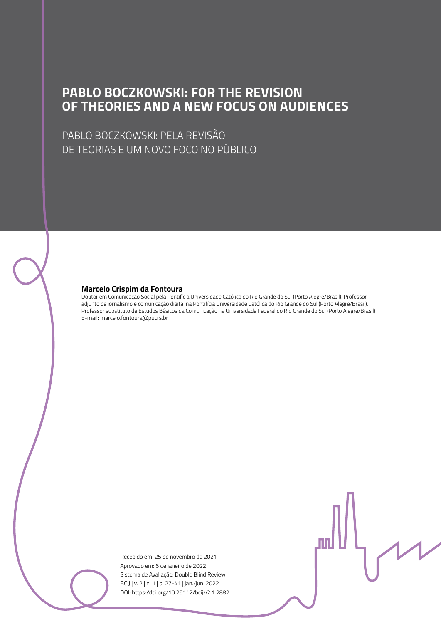#### **PABLO BOCZKOWSKI: FOR THE REVISION OF THEORIES AND A NEW FOCUS ON AUDIENCES**

PABLO BOCZKOWSKI: PELA REVISÃO DE TEORIAS E UM NOVO FOCO NO PÚBLICO

#### **Marcelo Crispim da Fontoura**

Doutor em Comunicação Social pela Pontifícia Universidade Católica do Rio Grande do Sul (Porto Alegre/Brasil). Professor adjunto de jornalismo e comunicação digital na Pontifícia Universidade Católica do Rio Grande do Sul (Porto Alegre/Brasil). Professor substituto de Estudos Básicos da Comunicação na Universidade Federal do Rio Grande do Sul (Porto Alegre/Brasil) E-mail: marcelo.fontoura@pucrs.br

> Recebido em: 25 de novembro de 2021 Aprovado em: 6 de janeiro de 2022 Sistema de Avaliação: Double Blind Review BCIJ | v. 2 | n. 1 | p. 27-41 | jan./jun. 2022 DOI: https://doi.org/10.25112/bcij.v2i1.2882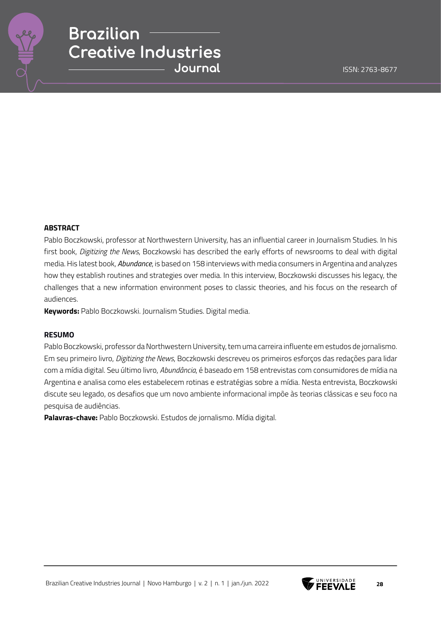

#### **ABSTRACT**

Pablo Boczkowski, professor at Northwestern University, has an influential career in Journalism Studies. In his first book, *Digitizing the News*, Boczkowski has described the early efforts of newsrooms to deal with digital media. His latest book, *Abundance*, is based on 158 interviews with media consumers in Argentina and analyzes how they establish routines and strategies over media. In this interview, Boczkowski discusses his legacy, the challenges that a new information environment poses to classic theories, and his focus on the research of audiences.

**Keywords:** Pablo Boczkowski. Journalism Studies. Digital media.

#### **RESUMO**

Pablo Boczkowski, professor da Northwestern University, tem uma carreira influente em estudos de jornalismo. Em seu primeiro livro, *Digitizing the News*, Boczkowski descreveu os primeiros esforços das redações para lidar com a mídia digital. Seu último livro, *Abundância*, é baseado em 158 entrevistas com consumidores de mídia na Argentina e analisa como eles estabelecem rotinas e estratégias sobre a mídia. Nesta entrevista, Boczkowski discute seu legado, os desafios que um novo ambiente informacional impõe às teorias clássicas e seu foco na pesquisa de audiências.

**Palavras-chave:** Pablo Boczkowski. Estudos de jornalismo. Mídia digital.

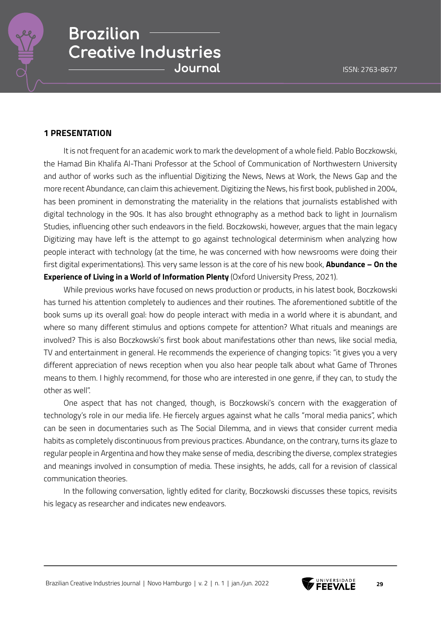

#### **1 PRESENTATION**

It is not frequent for an academic work to mark the development of a whole field. Pablo Boczkowski, the Hamad Bin Khalifa Al-Thani Professor at the School of Communication of Northwestern University and author of works such as the influential Digitizing the News, News at Work, the News Gap and the more recent Abundance, can claim this achievement. Digitizing the News, his first book, published in 2004, has been prominent in demonstrating the materiality in the relations that journalists established with digital technology in the 90s. It has also brought ethnography as a method back to light in Journalism Studies, influencing other such endeavors in the field. Boczkowski, however, argues that the main legacy Digitizing may have left is the attempt to go against technological determinism when analyzing how people interact with technology (at the time, he was concerned with how newsrooms were doing their first digital experimentations). This very same lesson is at the core of his new book, **Abundance – On the Experience of Living in a World of Information Plenty** (Oxford University Press, 2021).

While previous works have focused on news production or products, in his latest book, Boczkowski has turned his attention completely to audiences and their routines. The aforementioned subtitle of the book sums up its overall goal: how do people interact with media in a world where it is abundant, and where so many different stimulus and options compete for attention? What rituals and meanings are involved? This is also Boczkowski's first book about manifestations other than news, like social media, TV and entertainment in general. He recommends the experience of changing topics: "it gives you a very different appreciation of news reception when you also hear people talk about what Game of Thrones means to them. I highly recommend, for those who are interested in one genre, if they can, to study the other as well".

One aspect that has not changed, though, is Boczkowski's concern with the exaggeration of technology's role in our media life. He fiercely argues against what he calls "moral media panics", which can be seen in documentaries such as The Social Dilemma, and in views that consider current media habits as completely discontinuous from previous practices. Abundance, on the contrary, turns its glaze to regular people in Argentina and how they make sense of media, describing the diverse, complex strategies and meanings involved in consumption of media. These insights, he adds, call for a revision of classical communication theories.

In the following conversation, lightly edited for clarity, Boczkowski discusses these topics, revisits his legacy as researcher and indicates new endeavors.

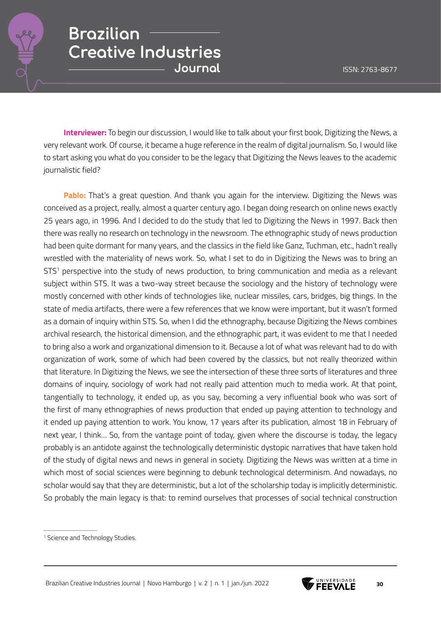

**Interviewer:** To begin our discussion, I would like to talk about your first book, Digitizing the News, a very relevant work. Of course, it became a huge reference in the realm of digital journalism. So, I would like to start asking you what do you consider to be the legacy that Digitizing the News leaves to the academic journalistic field?

**Pablo:** That's a great question. And thank you again for the interview. Digitizing the News was conceived as a project, really, almost a quarter century ago. I began doing research on online news exactly 25 years ago, in 1996. And I decided to do the study that led to Digitizing the News in 1997. Back then there was really no research on technology in the newsroom. The ethnographic study of news production had been quite dormant for many years, and the classics in the field like Ganz, Tuchman, etc., hadn't really wrestled with the materiality of news work. So, what I set to do in Digitizing the News was to bring an STS<sup>1</sup> perspective into the study of news production, to bring communication and media as a relevant subject within STS. It was a two-way street because the sociology and the history of technology were mostly concerned with other kinds of technologies like, nuclear missiles, cars, bridges, big things. In the state of media artifacts, there were a few references that we know were important, but it wasn't formed as a domain of inquiry within STS. So, when I did the ethnography, because Digitizing the News combines archival research, the historical dimension, and the ethnographic part, it was evident to me that I needed to bring also a work and organizational dimension to it. Because a lot of what was relevant had to do with organization of work, some of which had been covered by the classics, but not really theorized within that literature. In Digitizing the News, we see the intersection of these three sorts of literatures and three domains of inquiry, sociology of work had not really paid attention much to media work. At that point, tangentially to technology, it ended up, as you say, becoming a very influential book who was sort of the first of many ethnographies of news production that ended up paying attention to technology and it ended up paying attention to work. You know, 17 years after its publication, almost 18 in February of next year, I think… So, from the vantage point of today, given where the discourse is today, the legacy probably is an antidote against the technologically deterministic dystopic narratives that have taken hold of the study of digital news and news in general in society. Digitizing the News was written at a time in which most of social sciences were beginning to debunk technological determinism. And nowadays, no scholar would say that they are deterministic, but a lot of the scholarship today is implicitly deterministic. So probably the main legacy is that: to remind ourselves that processes of social technical construction



<sup>1</sup> Science and Technology Studies.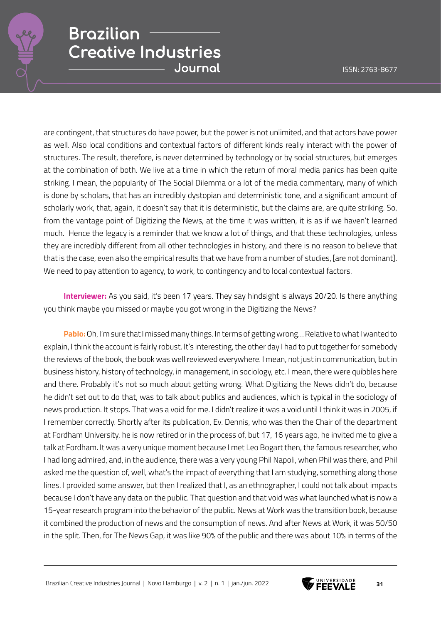

are contingent, that structures do have power, but the power is not unlimited, and that actors have power as well. Also local conditions and contextual factors of different kinds really interact with the power of structures. The result, therefore, is never determined by technology or by social structures, but emerges at the combination of both. We live at a time in which the return of moral media panics has been quite striking. I mean, the popularity of The Social Dilemma or a lot of the media commentary, many of which is done by scholars, that has an incredibly dystopian and deterministic tone, and a significant amount of scholarly work, that, again, it doesn't say that it is deterministic, but the claims are, are quite striking. So, from the vantage point of Digitizing the News, at the time it was written, it is as if we haven't learned much. Hence the legacy is a reminder that we know a lot of things, and that these technologies, unless they are incredibly different from all other technologies in history, and there is no reason to believe that that is the case, even also the empirical results that we have from a number of studies, [are not dominant]. We need to pay attention to agency, to work, to contingency and to local contextual factors.

**Interviewer:** As you said, it's been 17 years. They say hindsight is always 20/20. Is there anything you think maybe you missed or maybe you got wrong in the Digitizing the News?

**Pablo:** Oh, I'm sure that I missed many things. In terms of getting wrong… Relative to what I wanted to explain, I think the account is fairly robust. It's interesting, the other day I had to put together for somebody the reviews of the book, the book was well reviewed everywhere. I mean, not just in communication, but in business history, history of technology, in management, in sociology, etc. I mean, there were quibbles here and there. Probably it's not so much about getting wrong. What Digitizing the News didn't do, because he didn't set out to do that, was to talk about publics and audiences, which is typical in the sociology of news production. It stops. That was a void for me. I didn't realize it was a void until I think it was in 2005, if I remember correctly. Shortly after its publication, Ev. Dennis, who was then the Chair of the department at Fordham University, he is now retired or in the process of, but 17, 16 years ago, he invited me to give a talk at Fordham. It was a very unique moment because I met Leo Bogart then, the famous researcher, who I had long admired, and, in the audience, there was a very young Phil Napoli, when Phil was there, and Phil asked me the question of, well, what's the impact of everything that I am studying, something along those lines. I provided some answer, but then I realized that I, as an ethnographer, I could not talk about impacts because I don't have any data on the public. That question and that void was what launched what is now a 15-year research program into the behavior of the public. News at Work was the transition book, because it combined the production of news and the consumption of news. And after News at Work, it was 50/50 in the split. Then, for The News Gap, it was like 90% of the public and there was about 10% in terms of the

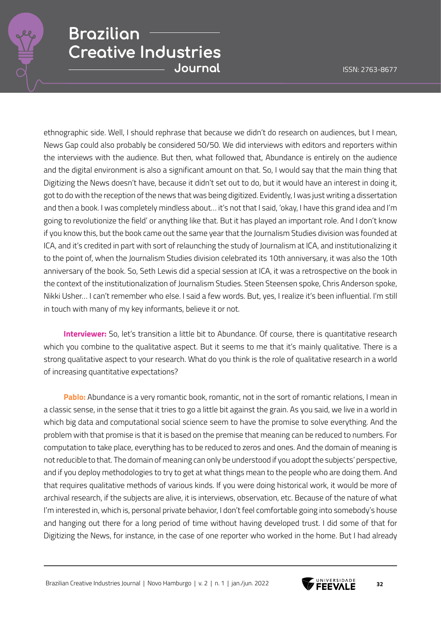

ethnographic side. Well, I should rephrase that because we didn't do research on audiences, but I mean, News Gap could also probably be considered 50/50. We did interviews with editors and reporters within the interviews with the audience. But then, what followed that, Abundance is entirely on the audience and the digital environment is also a significant amount on that. So, I would say that the main thing that Digitizing the News doesn't have, because it didn't set out to do, but it would have an interest in doing it, got to do with the reception of the news that was being digitized. Evidently, I was just writing a dissertation and then a book. I was completely mindless about… it's not that I said, 'okay, I have this grand idea and I'm going to revolutionize the field' or anything like that. But it has played an important role. And I don't know if you know this, but the book came out the same year that the Journalism Studies division was founded at ICA, and it's credited in part with sort of relaunching the study of Journalism at ICA, and institutionalizing it to the point of, when the Journalism Studies division celebrated its 10th anniversary, it was also the 10th anniversary of the book. So, Seth Lewis did a special session at ICA, it was a retrospective on the book in the context of the institutionalization of Journalism Studies. Steen Steensen spoke, Chris Anderson spoke, Nikki Usher… I can't remember who else. I said a few words. But, yes, I realize it's been influential. I'm still in touch with many of my key informants, believe it or not.

**Interviewer:** So, let's transition a little bit to Abundance. Of course, there is quantitative research which you combine to the qualitative aspect. But it seems to me that it's mainly qualitative. There is a strong qualitative aspect to your research. What do you think is the role of qualitative research in a world of increasing quantitative expectations?

**Pablo:** Abundance is a very romantic book, romantic, not in the sort of romantic relations, I mean in a classic sense, in the sense that it tries to go a little bit against the grain. As you said, we live in a world in which big data and computational social science seem to have the promise to solve everything. And the problem with that promise is that it is based on the premise that meaning can be reduced to numbers. For computation to take place, everything has to be reduced to zeros and ones. And the domain of meaning is not reducible to that. The domain of meaning can only be understood if you adopt the subjects' perspective, and if you deploy methodologies to try to get at what things mean to the people who are doing them. And that requires qualitative methods of various kinds. If you were doing historical work, it would be more of archival research, if the subjects are alive, it is interviews, observation, etc. Because of the nature of what I'm interested in, which is, personal private behavior, I don't feel comfortable going into somebody's house and hanging out there for a long period of time without having developed trust. I did some of that for Digitizing the News, for instance, in the case of one reporter who worked in the home. But I had already

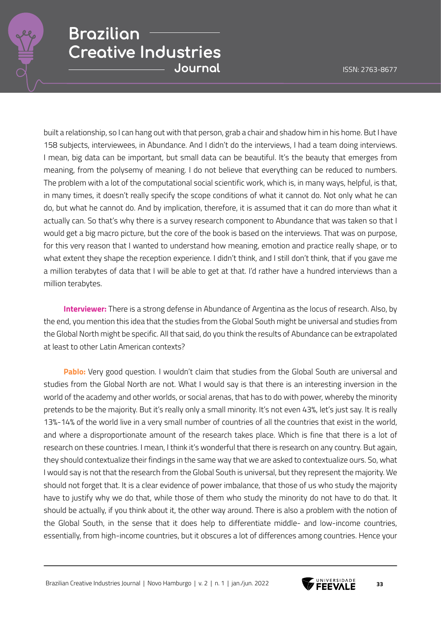

built a relationship, so I can hang out with that person, grab a chair and shadow him in his home. But I have 158 subjects, interviewees, in Abundance. And I didn't do the interviews, I had a team doing interviews. I mean, big data can be important, but small data can be beautiful. It's the beauty that emerges from meaning, from the polysemy of meaning. I do not believe that everything can be reduced to numbers. The problem with a lot of the computational social scientific work, which is, in many ways, helpful, is that, in many times, it doesn't really specify the scope conditions of what it cannot do. Not only what he can do, but what he cannot do. And by implication, therefore, it is assumed that it can do more than what it actually can. So that's why there is a survey research component to Abundance that was taken so that I would get a big macro picture, but the core of the book is based on the interviews. That was on purpose, for this very reason that I wanted to understand how meaning, emotion and practice really shape, or to what extent they shape the reception experience. I didn't think, and I still don't think, that if you gave me a million terabytes of data that I will be able to get at that. I'd rather have a hundred interviews than a million terabytes.

**Interviewer:** There is a strong defense in Abundance of Argentina as the locus of research. Also, by the end, you mention this idea that the studies from the Global South might be universal and studies from the Global North might be specific. All that said, do you think the results of Abundance can be extrapolated at least to other Latin American contexts?

**Pablo:** Very good question. I wouldn't claim that studies from the Global South are universal and studies from the Global North are not. What I would say is that there is an interesting inversion in the world of the academy and other worlds, or social arenas, that has to do with power, whereby the minority pretends to be the majority. But it's really only a small minority. It's not even 43%, let's just say. It is really 13%-14% of the world live in a very small number of countries of all the countries that exist in the world, and where a disproportionate amount of the research takes place. Which is fine that there is a lot of research on these countries. I mean, I think it's wonderful that there is research on any country. But again, they should contextualize their findings in the same way that we are asked to contextualize ours. So, what I would say is not that the research from the Global South is universal, but they represent the majority. We should not forget that. It is a clear evidence of power imbalance, that those of us who study the majority have to justify why we do that, while those of them who study the minority do not have to do that. It should be actually, if you think about it, the other way around. There is also a problem with the notion of the Global South, in the sense that it does help to differentiate middle- and low-income countries, essentially, from high-income countries, but it obscures a lot of differences among countries. Hence your

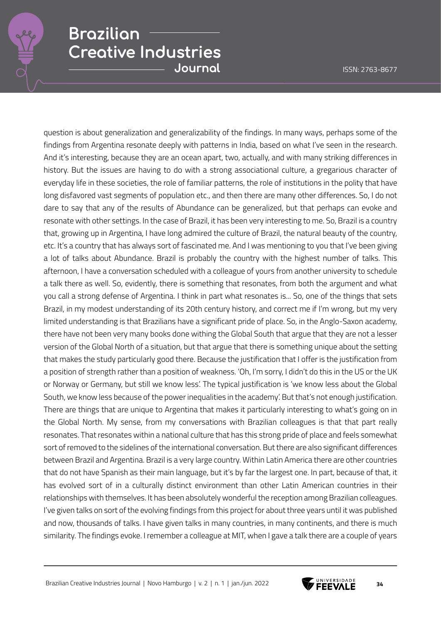question is about generalization and generalizability of the findings. In many ways, perhaps some of the findings from Argentina resonate deeply with patterns in India, based on what I've seen in the research. And it's interesting, because they are an ocean apart, two, actually, and with many striking differences in history. But the issues are having to do with a strong associational culture, a gregarious character of everyday life in these societies, the role of familiar patterns, the role of institutions in the polity that have long disfavored vast segments of population etc., and then there are many other differences. So, I do not dare to say that any of the results of Abundance can be generalized, but that perhaps can evoke and resonate with other settings. In the case of Brazil, it has been very interesting to me. So, Brazil is a country that, growing up in Argentina, I have long admired the culture of Brazil, the natural beauty of the country, etc. It's a country that has always sort of fascinated me. And I was mentioning to you that I've been giving a lot of talks about Abundance. Brazil is probably the country with the highest number of talks. This afternoon, I have a conversation scheduled with a colleague of yours from another university to schedule a talk there as well. So, evidently, there is something that resonates, from both the argument and what you call a strong defense of Argentina. I think in part what resonates is... So, one of the things that sets Brazil, in my modest understanding of its 20th century history, and correct me if I'm wrong, but my very limited understanding is that Brazilians have a significant pride of place. So, in the Anglo-Saxon academy, there have not been very many books done withing the Global South that argue that they are not a lesser version of the Global North of a situation, but that argue that there is something unique about the setting that makes the study particularly good there. Because the justification that I offer is the justification from a position of strength rather than a position of weakness. 'Oh, I'm sorry, I didn't do this in the US or the UK or Norway or Germany, but still we know less'. The typical justification is 'we know less about the Global South, we know less because of the power inequalities in the academy'. But that's not enough justification. There are things that are unique to Argentina that makes it particularly interesting to what's going on in the Global North. My sense, from my conversations with Brazilian colleagues is that that part really resonates. That resonates within a national culture that has this strong pride of place and feels somewhat sort of removed to the sidelines of the international conversation. But there are also significant differences between Brazil and Argentina. Brazil is a very large country. Within Latin America there are other countries that do not have Spanish as their main language, but it's by far the largest one. In part, because of that, it has evolved sort of in a culturally distinct environment than other Latin American countries in their relationships with themselves. It has been absolutely wonderful the reception among Brazilian colleagues. I've given talks on sort of the evolving findings from this project for about three years until it was published and now, thousands of talks. I have given talks in many countries, in many continents, and there is much similarity. The findings evoke. I remember a colleague at MIT, when I gave a talk there are a couple of years

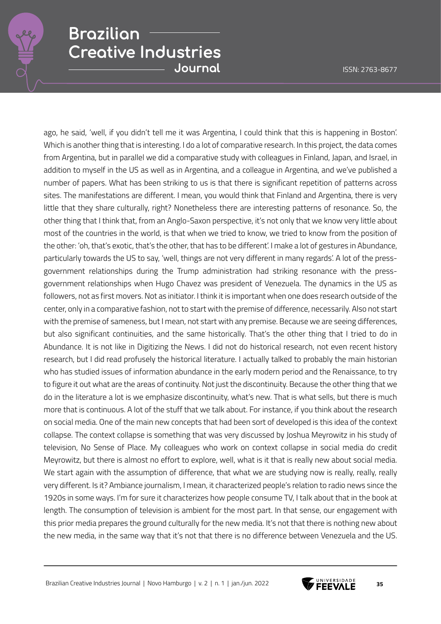ago, he said, 'well, if you didn't tell me it was Argentina, I could think that this is happening in Boston'. Which is another thing that is interesting. I do a lot of comparative research. In this project, the data comes from Argentina, but in parallel we did a comparative study with colleagues in Finland, Japan, and Israel, in addition to myself in the US as well as in Argentina, and a colleague in Argentina, and we've published a number of papers. What has been striking to us is that there is significant repetition of patterns across sites. The manifestations are different. I mean, you would think that Finland and Argentina, there is very little that they share culturally, right? Nonetheless there are interesting patterns of resonance. So, the other thing that I think that, from an Anglo-Saxon perspective, it's not only that we know very little about most of the countries in the world, is that when we tried to know, we tried to know from the position of the other: 'oh, that's exotic, that's the other, that has to be different'. I make a lot of gestures in Abundance, particularly towards the US to say, 'well, things are not very different in many regards'. A lot of the pressgovernment relationships during the Trump administration had striking resonance with the pressgovernment relationships when Hugo Chavez was president of Venezuela. The dynamics in the US as followers, not as first movers. Not as initiator. I think it is important when one does research outside of the center, only in a comparative fashion, not to start with the premise of difference, necessarily. Also not start with the premise of sameness, but I mean, not start with any premise. Because we are seeing differences, but also significant continuities, and the same historically. That's the other thing that I tried to do in Abundance. It is not like in Digitizing the News. I did not do historical research, not even recent history research, but I did read profusely the historical literature. I actually talked to probably the main historian who has studied issues of information abundance in the early modern period and the Renaissance, to try to figure it out what are the areas of continuity. Not just the discontinuity. Because the other thing that we do in the literature a lot is we emphasize discontinuity, what's new. That is what sells, but there is much more that is continuous. A lot of the stuff that we talk about. For instance, if you think about the research on social media. One of the main new concepts that had been sort of developed is this idea of the context collapse. The context collapse is something that was very discussed by Joshua Meyrowitz in his study of television, No Sense of Place. My colleagues who work on context collapse in social media do credit Meyrowitz, but there is almost no effort to explore, well, what is it that is really new about social media. We start again with the assumption of difference, that what we are studying now is really, really, really very different. Is it? Ambiance journalism, I mean, it characterized people's relation to radio news since the 1920s in some ways. I'm for sure it characterizes how people consume TV, I talk about that in the book at length. The consumption of television is ambient for the most part. In that sense, our engagement with this prior media prepares the ground culturally for the new media. It's not that there is nothing new about the new media, in the same way that it's not that there is no difference between Venezuela and the US.

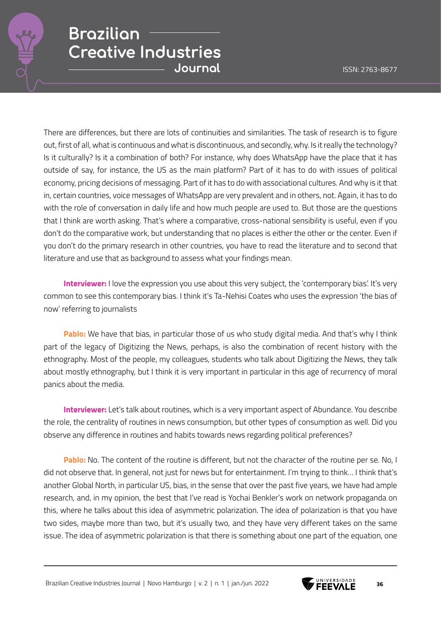

There are differences, but there are lots of continuities and similarities. The task of research is to figure out, first of all, what is continuous and what is discontinuous, and secondly, why. Is it really the technology? Is it culturally? Is it a combination of both? For instance, why does WhatsApp have the place that it has outside of say, for instance, the US as the main platform? Part of it has to do with issues of political economy, pricing decisions of messaging. Part of it has to do with associational cultures. And why is it that in, certain countries, voice messages of WhatsApp are very prevalent and in others, not. Again, it has to do with the role of conversation in daily life and how much people are used to. But those are the questions that I think are worth asking. That's where a comparative, cross-national sensibility is useful, even if you don't do the comparative work, but understanding that no places is either the other or the center. Even if you don't do the primary research in other countries, you have to read the literature and to second that literature and use that as background to assess what your findings mean.

**Interviewer:** I love the expression you use about this very subject, the 'contemporary bias'. It's very common to see this contemporary bias. I think it's Ta-Nehisi Coates who uses the expression 'the bias of now' referring to journalists

**Pablo:** We have that bias, in particular those of us who study digital media. And that's why I think part of the legacy of Digitizing the News, perhaps, is also the combination of recent history with the ethnography. Most of the people, my colleagues, students who talk about Digitizing the News, they talk about mostly ethnography, but I think it is very important in particular in this age of recurrency of moral panics about the media.

**Interviewer:** Let's talk about routines, which is a very important aspect of Abundance. You describe the role, the centrality of routines in news consumption, but other types of consumption as well. Did you observe any difference in routines and habits towards news regarding political preferences?

**Pablo:** No. The content of the routine is different, but not the character of the routine per se. No, I did not observe that. In general, not just for news but for entertainment. I'm trying to think… I think that's another Global North, in particular US, bias, in the sense that over the past five years, we have had ample research, and, in my opinion, the best that I've read is Yochai Benkler's work on network propaganda on this, where he talks about this idea of asymmetric polarization. The idea of polarization is that you have two sides, maybe more than two, but it's usually two, and they have very different takes on the same issue. The idea of asymmetric polarization is that there is something about one part of the equation, one

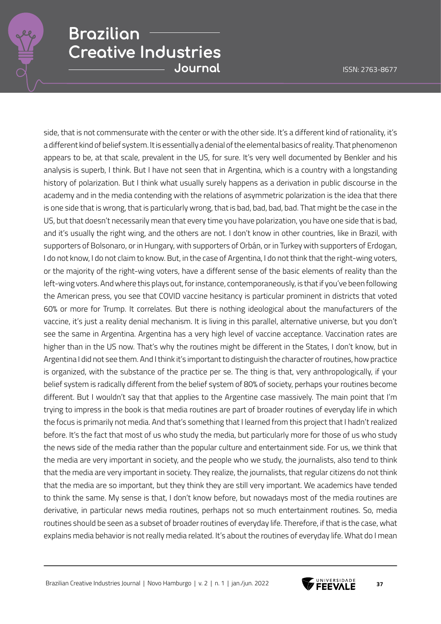side, that is not commensurate with the center or with the other side. It's a different kind of rationality, it's a different kind of belief system. It is essentially a denial of the elemental basics of reality. That phenomenon appears to be, at that scale, prevalent in the US, for sure. It's very well documented by Benkler and his analysis is superb, I think. But I have not seen that in Argentina, which is a country with a longstanding history of polarization. But I think what usually surely happens as a derivation in public discourse in the academy and in the media contending with the relations of asymmetric polarization is the idea that there is one side that is wrong, that is particularly wrong, that is bad, bad, bad, bad. That might be the case in the US, but that doesn't necessarily mean that every time you have polarization, you have one side that is bad, and it's usually the right wing, and the others are not. I don't know in other countries, like in Brazil, with supporters of Bolsonaro, or in Hungary, with supporters of Orbán, or in Turkey with supporters of Erdogan, I do not know, I do not claim to know. But, in the case of Argentina, I do not think that the right-wing voters, or the majority of the right-wing voters, have a different sense of the basic elements of reality than the left-wing voters. And where this plays out, for instance, contemporaneously, is that if you've been following the American press, you see that COVID vaccine hesitancy is particular prominent in districts that voted 60% or more for Trump. It correlates. But there is nothing ideological about the manufacturers of the vaccine, it's just a reality denial mechanism. It is living in this parallel, alternative universe, but you don't see the same in Argentina. Argentina has a very high level of vaccine acceptance. Vaccination rates are higher than in the US now. That's why the routines might be different in the States, I don't know, but in Argentina I did not see them. And I think it's important to distinguish the character of routines, how practice is organized, with the substance of the practice per se. The thing is that, very anthropologically, if your belief system is radically different from the belief system of 80% of society, perhaps your routines become different. But I wouldn't say that that applies to the Argentine case massively. The main point that I'm trying to impress in the book is that media routines are part of broader routines of everyday life in which the focus is primarily not media. And that's something that I learned from this project that I hadn't realized before. It's the fact that most of us who study the media, but particularly more for those of us who study the news side of the media rather than the popular culture and entertainment side. For us, we think that the media are very important in society, and the people who we study, the journalists, also tend to think that the media are very important in society. They realize, the journalists, that regular citizens do not think that the media are so important, but they think they are still very important. We academics have tended to think the same. My sense is that, I don't know before, but nowadays most of the media routines are derivative, in particular news media routines, perhaps not so much entertainment routines. So, media routines should be seen as a subset of broader routines of everyday life. Therefore, if that is the case, what explains media behavior is not really media related. It's about the routines of everyday life. What do I mean

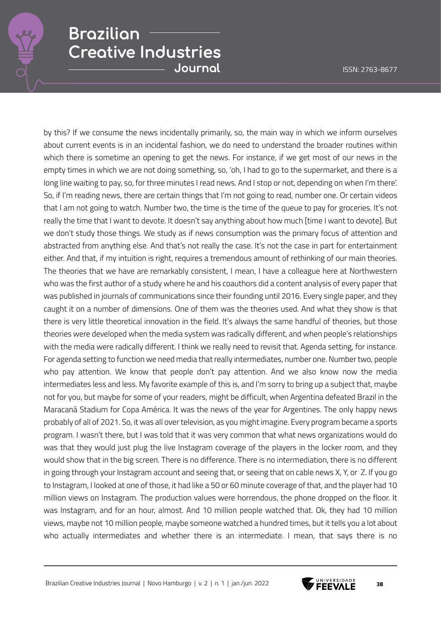

by this? If we consume the news incidentally primarily, so, the main way in which we inform ourselves about current events is in an incidental fashion, we do need to understand the broader routines within which there is sometime an opening to get the news. For instance, if we get most of our news in the empty times in which we are not doing something, so, 'oh, I had to go to the supermarket, and there is a long line waiting to pay, so, for three minutes I read news. And I stop or not, depending on when I'm there'. So, if I'm reading news, there are certain things that I'm not going to read, number one. Or certain videos that I am not going to watch. Number two, the time is the time of the queue to pay for groceries. It's not really the time that I want to devote. It doesn't say anything about how much [time I want to devote]. But we don't study those things. We study as if news consumption was the primary focus of attention and abstracted from anything else. And that's not really the case. It's not the case in part for entertainment either. And that, if my intuition is right, requires a tremendous amount of rethinking of our main theories. The theories that we have are remarkably consistent, I mean, I have a colleague here at Northwestern who was the first author of a study where he and his coauthors did a content analysis of every paper that was published in journals of communications since their founding until 2016. Every single paper, and they caught it on a number of dimensions. One of them was the theories used. And what they show is that there is very little theoretical innovation in the field. It's always the same handful of theories, but those theories were developed when the media system was radically different, and when people's relationships with the media were radically different. I think we really need to revisit that. Agenda setting, for instance. For agenda setting to function we need media that really intermediates, number one. Number two, people who pay attention. We know that people don't pay attention. And we also know now the media intermediates less and less. My favorite example of this is, and I'm sorry to bring up a subject that, maybe not for you, but maybe for some of your readers, might be difficult, when Argentina defeated Brazil in the Maracanã Stadium for Copa América. It was the news of the year for Argentines. The only happy news probably of all of 2021. So, it was all over television, as you might imagine. Every program became a sports program. I wasn't there, but I was told that it was very common that what news organizations would do was that they would just plug the live Instagram coverage of the players in the locker room, and they would show that in the big screen. There is no difference. There is no intermediation, there is no different in going through your Instagram account and seeing that, or seeing that on cable news X, Y, or Z. If you go to Instagram, I looked at one of those, it had like a 50 or 60 minute coverage of that, and the player had 10 million views on Instagram. The production values were horrendous, the phone dropped on the floor. It was Instagram, and for an hour, almost. And 10 million people watched that. Ok, they had 10 million views, maybe not 10 million people, maybe someone watched a hundred times, but it tells you a lot about who actually intermediates and whether there is an intermediate. I mean, that says there is no

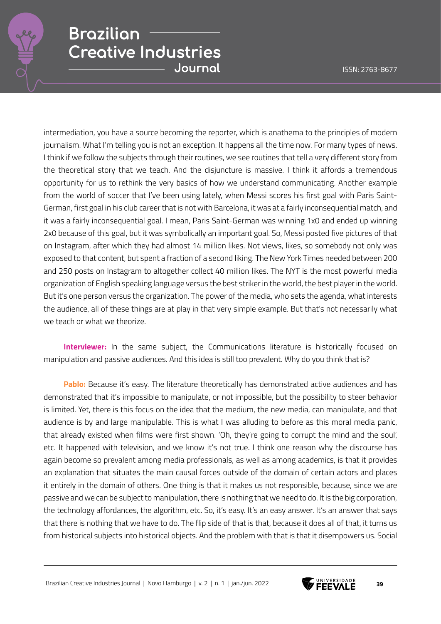

intermediation, you have a source becoming the reporter, which is anathema to the principles of modern journalism. What I'm telling you is not an exception. It happens all the time now. For many types of news. I think if we follow the subjects through their routines, we see routines that tell a very different story from the theoretical story that we teach. And the disjuncture is massive. I think it affords a tremendous opportunity for us to rethink the very basics of how we understand communicating. Another example from the world of soccer that I've been using lately, when Messi scores his first goal with Paris Saint-German, first goal in his club career that is not with Barcelona, it was at a fairly inconsequential match, and it was a fairly inconsequential goal. I mean, Paris Saint-German was winning 1x0 and ended up winning 2x0 because of this goal, but it was symbolically an important goal. So, Messi posted five pictures of that on Instagram, after which they had almost 14 million likes. Not views, likes, so somebody not only was exposed to that content, but spent a fraction of a second liking. The New York Times needed between 200 and 250 posts on Instagram to altogether collect 40 million likes. The NYT is the most powerful media organization of English speaking language versus the best striker in the world, the best player in the world. But it's one person versus the organization. The power of the media, who sets the agenda, what interests the audience, all of these things are at play in that very simple example. But that's not necessarily what we teach or what we theorize.

**Interviewer:** In the same subject, the Communications literature is historically focused on manipulation and passive audiences. And this idea is still too prevalent. Why do you think that is?

**Pablo:** Because it's easy. The literature theoretically has demonstrated active audiences and has demonstrated that it's impossible to manipulate, or not impossible, but the possibility to steer behavior is limited. Yet, there is this focus on the idea that the medium, the new media, can manipulate, and that audience is by and large manipulable. This is what I was alluding to before as this moral media panic, that already existed when films were first shown. 'Oh, they're going to corrupt the mind and the soul', etc. It happened with television, and we know it's not true. I think one reason why the discourse has again become so prevalent among media professionals, as well as among academics, is that it provides an explanation that situates the main causal forces outside of the domain of certain actors and places it entirely in the domain of others. One thing is that it makes us not responsible, because, since we are passive and we can be subject to manipulation, there is nothing that we need to do. It is the big corporation, the technology affordances, the algorithm, etc. So, it's easy. It's an easy answer. It's an answer that says that there is nothing that we have to do. The flip side of that is that, because it does all of that, it turns us from historical subjects into historical objects. And the problem with that is that it disempowers us. Social

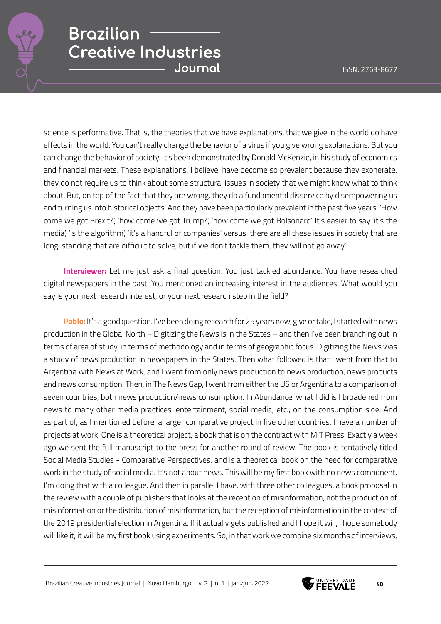

science is performative. That is, the theories that we have explanations, that we give in the world do have effects in the world. You can't really change the behavior of a virus if you give wrong explanations. But you can change the behavior of society. It's been demonstrated by Donald McKenzie, in his study of economics and financial markets. These explanations, I believe, have become so prevalent because they exonerate, they do not require us to think about some structural issues in society that we might know what to think about. But, on top of the fact that they are wrong, they do a fundamental disservice by disempowering us and turning us into historical objects. And they have been particularly prevalent in the past five years. 'How come we got Brexit?', 'how come we got Trump?', 'how come we got Bolsonaro'. It's easier to say 'it's the media', 'is the algorithm', 'it's a handful of companies' versus 'there are all these issues in society that are long-standing that are difficult to solve, but if we don't tackle them, they will not go away'.

**Interviewer:** Let me just ask a final question. You just tackled abundance. You have researched digital newspapers in the past. You mentioned an increasing interest in the audiences. What would you say is your next research interest, or your next research step in the field?

**Pablo:** It's a good question. I've been doing research for 25 years now, give or take, I started with news production in the Global North – Digitizing the News is in the States – and then I've been branching out in terms of area of study, in terms of methodology and in terms of geographic focus. Digitizing the News was a study of news production in newspapers in the States. Then what followed is that I went from that to Argentina with News at Work, and I went from only news production to news production, news products and news consumption. Then, in The News Gap, I went from either the US or Argentina to a comparison of seven countries, both news production/news consumption. In Abundance, what I did is I broadened from news to many other media practices: entertainment, social media, etc., on the consumption side. And as part of, as I mentioned before, a larger comparative project in five other countries. I have a number of projects at work. One is a theoretical project, a book that is on the contract with MIT Press. Exactly a week ago we sent the full manuscript to the press for another round of review. The book is tentatively titled Social Media Studies - Comparative Perspectives, and is a theoretical book on the need for comparative work in the study of social media. It's not about news. This will be my first book with no news component. I'm doing that with a colleague. And then in parallel I have, with three other colleagues, a book proposal in the review with a couple of publishers that looks at the reception of misinformation, not the production of misinformation or the distribution of misinformation, but the reception of misinformation in the context of the 2019 presidential election in Argentina. If it actually gets published and I hope it will, I hope somebody will like it, it will be my first book using experiments. So, in that work we combine six months of interviews,